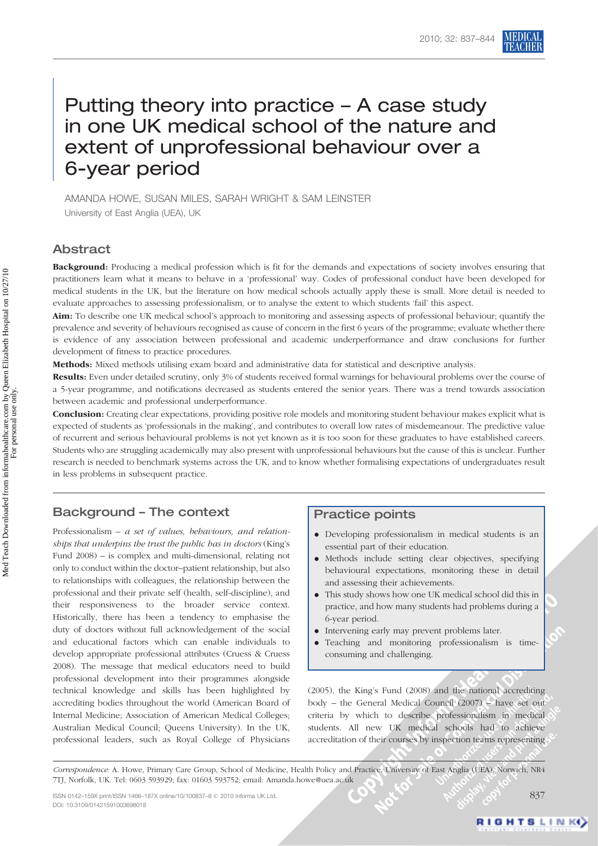# Putting theory into practice – A case study in one UK medical school of the nature and extent of unprofessional behaviour over a 6-year period

AMANDA HOWE, SUSAN MILES, SARAH WRIGHT & SAM LEINSTER University of East Anglia (UEA), UK

## Abstract

Background: Producing a medical profession which is fit for the demands and expectations of society involves ensuring that practitioners learn what it means to behave in a 'professional' way. Codes of professional conduct have been developed for medical students in the UK, but the literature on how medical schools actually apply these is small. More detail is needed to evaluate approaches to assessing professionalism, or to analyse the extent to which students 'fail' this aspect.

Aim: To describe one UK medical school's approach to monitoring and assessing aspects of professional behaviour; quantify the prevalence and severity of behaviours recognised as cause of concern in the first 6 years of the programme; evaluate whether there is evidence of any association between professional and academic underperformance and draw conclusions for further development of fitness to practice procedures.

Methods: Mixed methods utilising exam board and administrative data for statistical and descriptive analysis.

Results: Even under detailed scrutiny, only 3% of students received formal warnings for behavioural problems over the course of a 5-year programme, and notifications decreased as students entered the senior years. There was a trend towards association between academic and professional underperformance.

**Conclusion:** Creating clear expectations, providing positive role models and monitoring student behaviour makes explicit what is expected of students as 'professionals in the making', and contributes to overall low rates of misdemeanour. The predictive value of recurrent and serious behavioural problems is not yet known as it is too soon for these graduates to have established careers. Students who are struggling academically may also present with unprofessional behaviours but the cause of this is unclear. Further research is needed to benchmark systems across the UK, and to know whether formalising expectations of undergraduates result in less problems in subsequent practice.

## Background – The context

Professionalism – a set of values, behaviours, and relationships that underpins the trust the public has in doctors (King's Fund 2008) – is complex and multi-dimensional, relating not only to conduct within the doctor–patient relationship, but also to relationships with colleagues, the relationship between the professional and their private self (health, self-discipline), and their responsiveness to the broader service context. Historically, there has been a tendency to emphasise the duty of doctors without full acknowledgement of the social and educational factors which can enable individuals to develop appropriate professional attributes (Cruess & Cruess 2008). The message that medical educators need to build professional development into their programmes alongside technical knowledge and skills has been highlighted by accrediting bodies throughout the world (American Board of Internal Medicine; Association of American Medical Colleges; Australian Medical Council; Queens University). In the UK, professional leaders, such as Royal College of Physicians

## Practice points

- . Developing professionalism in medical students is an essential part of their education.
- . Methods include setting clear objectives, specifying behavioural expectations, monitoring these in detail and assessing their achievements.
- . This study shows how one UK medical school did this in practice, and how many students had problems during a 6-year period.
- . Intervening early may prevent problems later.
- . Teaching and monitoring professionalism is timeconsuming and challenging.

(2005), the King's Fund (2008) and the national accrediting body – the General Medical Council (2007) – have set out criteria by which to describe professionalism in medical students. All new UK medical schools had to achieve accreditation of their courses by inspection teams representing

Correspondence: A. Howe, Primary Care Group, School of Medicine, Health Policy and Practice, University of East Anglia (UEA), Norwich, NR4 7TJ, Norfolk, UK. Tel: 0603 593929; fax: 01603 593752; email: Amanda.howe@uea.ac.uk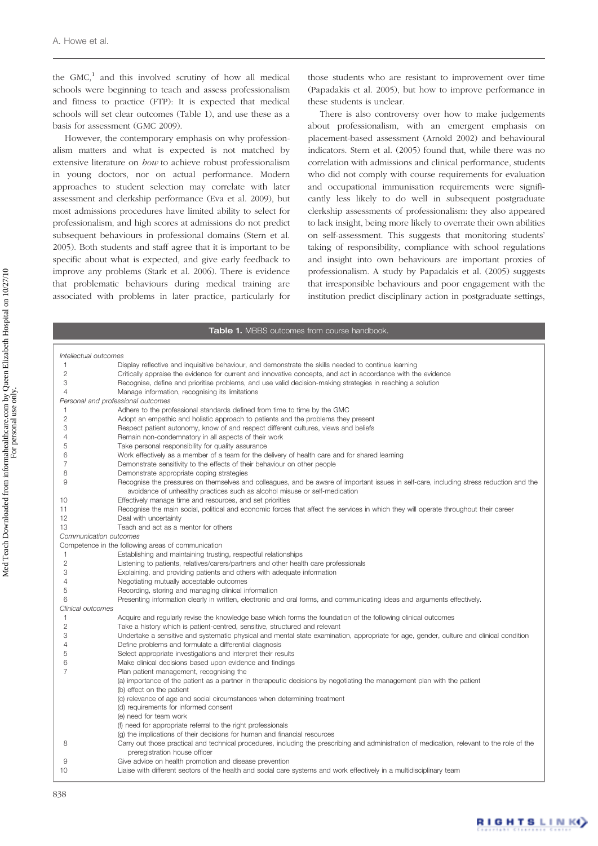the  $GMC$ ,<sup>1</sup> and this involved scrutiny of how all medical schools were beginning to teach and assess professionalism and fitness to practice (FTP): It is expected that medical schools will set clear outcomes (Table 1), and use these as a basis for assessment (GMC 2009).

However, the contemporary emphasis on why professionalism matters and what is expected is not matched by extensive literature on how to achieve robust professionalism in young doctors, nor on actual performance. Modern approaches to student selection may correlate with later assessment and clerkship performance (Eva et al. 2009), but most admissions procedures have limited ability to select for professionalism, and high scores at admissions do not predict subsequent behaviours in professional domains (Stern et al. 2005). Both students and staff agree that it is important to be specific about what is expected, and give early feedback to improve any problems (Stark et al. 2006). There is evidence that problematic behaviours during medical training are associated with problems in later practice, particularly for

those students who are resistant to improvement over time (Papadakis et al. 2005), but how to improve performance in these students is unclear.

There is also controversy over how to make judgements about professionalism, with an emergent emphasis on placement-based assessment (Arnold 2002) and behavioural indicators. Stern et al. (2005) found that, while there was no correlation with admissions and clinical performance, students who did not comply with course requirements for evaluation and occupational immunisation requirements were significantly less likely to do well in subsequent postgraduate clerkship assessments of professionalism: they also appeared to lack insight, being more likely to overrate their own abilities on self-assessment. This suggests that monitoring students' taking of responsibility, compliance with school regulations and insight into own behaviours are important proxies of professionalism. A study by Papadakis et al. (2005) suggests that irresponsible behaviours and poor engagement with the institution predict disciplinary action in postgraduate settings,

|                        | Table 1. MBBS outcomes from course handbook.                                                                                                |
|------------------------|---------------------------------------------------------------------------------------------------------------------------------------------|
| Intellectual outcomes  |                                                                                                                                             |
| 1                      | Display reflective and inquisitive behaviour, and demonstrate the skills needed to continue learning                                        |
| $\overline{2}$         | Critically appraise the evidence for current and innovative concepts, and act in accordance with the evidence                               |
| 3                      | Recognise, define and prioritise problems, and use valid decision-making strategies in reaching a solution                                  |
| 4                      | Manage information, recognising its limitations                                                                                             |
|                        | Personal and professional outcomes                                                                                                          |
| $\mathbf{1}$           | Adhere to the professional standards defined from time to time by the GMC                                                                   |
| $\mathbf{2}$           | Adopt an empathic and holistic approach to patients and the problems they present                                                           |
| 3                      | Respect patient autonomy, know of and respect different cultures, views and beliefs                                                         |
| 4                      | Remain non-condemnatory in all aspects of their work                                                                                        |
| 5                      | Take personal responsibility for quality assurance                                                                                          |
| 6                      | Work effectively as a member of a team for the delivery of health care and for shared learning                                              |
| 7                      | Demonstrate sensitivity to the effects of their behaviour on other people                                                                   |
| 8                      | Demonstrate appropriate coping strategies                                                                                                   |
| 9                      | Recognise the pressures on themselves and colleagues, and be aware of important issues in self-care, including stress reduction and the     |
|                        | avoidance of unhealthy practices such as alcohol misuse or self-medication                                                                  |
| 10                     | Effectively manage time and resources, and set priorities                                                                                   |
| 11                     | Recognise the main social, political and economic forces that affect the services in which they will operate throughout their career        |
| 12<br>13               | Deal with uncertainty<br>Teach and act as a mentor for others                                                                               |
| Communication outcomes |                                                                                                                                             |
|                        | Competence in the following areas of communication                                                                                          |
| 1                      | Establishing and maintaining trusting, respectful relationships                                                                             |
| $\overline{c}$         | Listening to patients, relatives/carers/partners and other health care professionals                                                        |
| 3                      | Explaining, and providing patients and others with adequate information                                                                     |
| 4                      | Negotiating mutually acceptable outcomes                                                                                                    |
| 5                      | Recording, storing and managing clinical information                                                                                        |
| 6                      | Presenting information clearly in written, electronic and oral forms, and communicating ideas and arguments effectively.                    |
| Clinical outcomes      |                                                                                                                                             |
| 1                      | Acquire and regularly revise the knowledge base which forms the foundation of the following clinical outcomes                               |
| $\overline{c}$         | Take a history which is patient-centred, sensitive, structured and relevant                                                                 |
| 3                      | Undertake a sensitive and systematic physical and mental state examination, appropriate for age, gender, culture and clinical condition     |
| 4                      | Define problems and formulate a differential diagnosis                                                                                      |
| 5                      | Select appropriate investigations and interpret their results                                                                               |
| 6                      | Make clinical decisions based upon evidence and findings                                                                                    |
| 7                      | Plan patient management, recognising the                                                                                                    |
|                        | (a) importance of the patient as a partner in therapeutic decisions by negotiating the management plan with the patient                     |
|                        | (b) effect on the patient                                                                                                                   |
|                        | (c) relevance of age and social circumstances when determining treatment                                                                    |
|                        | (d) requirements for informed consent                                                                                                       |
|                        | (e) need for team work                                                                                                                      |
|                        | (f) need for appropriate referral to the right professionals                                                                                |
|                        | (g) the implications of their decisions for human and financial resources                                                                   |
| 8                      | Carry out those practical and technical procedures, including the prescribing and administration of medication, relevant to the role of the |
| 9                      | preregistration house officer<br>Give advice on health promotion and disease prevention                                                     |
| 10                     | Liaise with different sectors of the health and social care systems and work effectively in a multidisciplinary team                        |
|                        |                                                                                                                                             |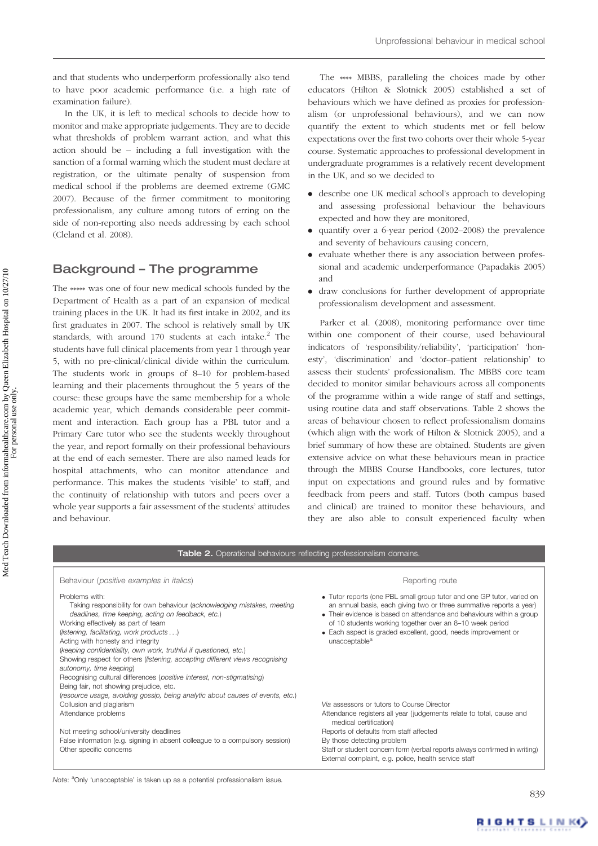and that students who underperform professionally also tend to have poor academic performance (i.e. a high rate of examination failure).

In the UK, it is left to medical schools to decide how to monitor and make appropriate judgements. They are to decide what thresholds of problem warrant action, and what this action should be – including a full investigation with the sanction of a formal warning which the student must declare at registration, or the ultimate penalty of suspension from medical school if the problems are deemed extreme (GMC 2007). Because of the firmer commitment to monitoring professionalism, any culture among tutors of erring on the side of non-reporting also needs addressing by each school (Cleland et al. 2008).

## Background – The programme

The \*\*\*\*\* was one of four new medical schools funded by the Department of Health as a part of an expansion of medical training places in the UK. It had its first intake in 2002, and its first graduates in 2007. The school is relatively small by UK standards, with around  $170$  students at each intake.<sup>2</sup> The students have full clinical placements from year 1 through year 5, with no pre-clinical/clinical divide within the curriculum. The students work in groups of 8–10 for problem-based learning and their placements throughout the 5 years of the course: these groups have the same membership for a whole academic year, which demands considerable peer commitment and interaction. Each group has a PBL tutor and a Primary Care tutor who see the students weekly throughout the year, and report formally on their professional behaviours at the end of each semester. There are also named leads for hospital attachments, who can monitor attendance and performance. This makes the students 'visible' to staff, and the continuity of relationship with tutors and peers over a whole year supports a fair assessment of the students' attitudes and behaviour.

The \*\*\*\* MBBS, paralleling the choices made by other educators (Hilton & Slotnick 2005) established a set of behaviours which we have defined as proxies for professionalism (or unprofessional behaviours), and we can now quantify the extent to which students met or fell below expectations over the first two cohorts over their whole 5-year course. Systematic approaches to professional development in undergraduate programmes is a relatively recent development in the UK, and so we decided to

- . describe one UK medical school's approach to developing and assessing professional behaviour the behaviours expected and how they are monitored,
- . quantify over a 6-year period (2002–2008) the prevalence and severity of behaviours causing concern,
- . evaluate whether there is any association between professional and academic underperformance (Papadakis 2005) and
- . draw conclusions for further development of appropriate professionalism development and assessment.

Parker et al. (2008), monitoring performance over time within one component of their course, used behavioural indicators of 'responsibility/reliability', 'participation' 'honesty', 'discrimination' and 'doctor–patient relationship' to assess their students' professionalism. The MBBS core team decided to monitor similar behaviours across all components of the programme within a wide range of staff and settings, using routine data and staff observations. Table 2 shows the areas of behaviour chosen to reflect professionalism domains (which align with the work of Hilton & Slotnick 2005), and a brief summary of how these are obtained. Students are given extensive advice on what these behaviours mean in practice through the MBBS Course Handbooks, core lectures, tutor input on expectations and ground rules and by formative feedback from peers and staff. Tutors (both campus based and clinical) are trained to monitor these behaviours, and they are also able to consult experienced faculty when

## Table 2. Operational behaviours reflecting professionalism domains.

| Behaviour (positive examples in italics)                                                                                                                                                                                                                                                                                                                                                                                                                                                                                                                                                                                                                        | Reporting route                                                                                                                                                                                                                                                                                                                                                                  |
|-----------------------------------------------------------------------------------------------------------------------------------------------------------------------------------------------------------------------------------------------------------------------------------------------------------------------------------------------------------------------------------------------------------------------------------------------------------------------------------------------------------------------------------------------------------------------------------------------------------------------------------------------------------------|----------------------------------------------------------------------------------------------------------------------------------------------------------------------------------------------------------------------------------------------------------------------------------------------------------------------------------------------------------------------------------|
| Problems with:<br>Taking responsibility for own behaviour (acknowledging mistakes, meeting<br>deadlines, time keeping, acting on feedback, etc.)<br>Working effectively as part of team<br>(listening, facilitating, work products)<br>Acting with honesty and integrity<br>(keeping confidentiality, own work, truthful if questioned, etc.)<br>Showing respect for others (listening, accepting different views recognising<br>autonomy, time keeping)<br>Recognising cultural differences (positive interest, non-stigmatising)<br>Being fair, not showing prejudice, etc.<br>(resource usage, avoiding gossip, being analytic about causes of events, etc.) | • Tutor reports (one PBL small group tutor and one GP tutor, varied on<br>an annual basis, each giving two or three summative reports a year)<br>• Their evidence is based on attendance and behaviours within a group<br>of 10 students working together over an 8-10 week period<br>• Each aspect is graded excellent, good, needs improvement or<br>unacceptable <sup>a</sup> |
| Collusion and plagiarism                                                                                                                                                                                                                                                                                                                                                                                                                                                                                                                                                                                                                                        | Via assessors or tutors to Course Director                                                                                                                                                                                                                                                                                                                                       |
| Attendance problems                                                                                                                                                                                                                                                                                                                                                                                                                                                                                                                                                                                                                                             | Attendance registers all year (judgements relate to total, cause and<br>medical certification)                                                                                                                                                                                                                                                                                   |
| Not meeting school/university deadlines                                                                                                                                                                                                                                                                                                                                                                                                                                                                                                                                                                                                                         | Reports of defaults from staff affected                                                                                                                                                                                                                                                                                                                                          |
| False information (e.g. signing in absent colleague to a compulsory session)                                                                                                                                                                                                                                                                                                                                                                                                                                                                                                                                                                                    | By those detecting problem                                                                                                                                                                                                                                                                                                                                                       |
| Other specific concerns                                                                                                                                                                                                                                                                                                                                                                                                                                                                                                                                                                                                                                         | Staff or student concern form (verbal reports always confirmed in writing)<br>External complaint, e.g. police, health service staff                                                                                                                                                                                                                                              |

839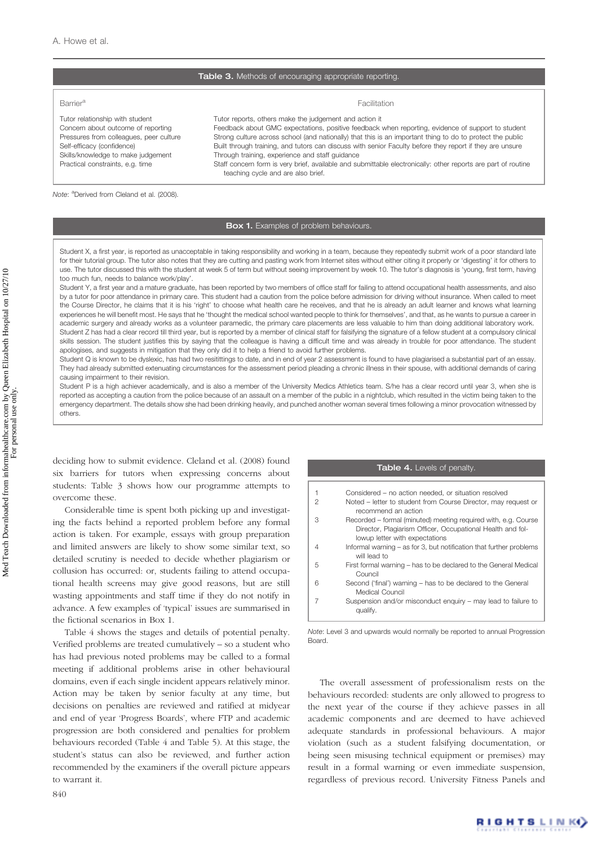#### Table 3. Methods of encouraging appropriate reporting.

#### Barrier<sup>a</sup> Facilitation

Tutor relationship with student Tutor reports, others make the judgement and action it

Concern about outcome of reporting Feedback about GMC expectations, positive feedback when reporting, evidence of support to student Pressures from colleagues, peer culture Strong culture across school (and nationally) that this is an important thing to do to protect the public Self-efficacy (confidence) **Built through training, and tutors can discuss with senior Faculty before they report if they are unsure** Skills/knowledge to make judgement Through training, experience and staff guidance<br>Practical constraints, e.g. time Through the Staff concern form is very brief, available and su

Staff concern form is very brief, available and submittable electronically: other reports are part of routine teaching cycle and are also brief.

Note: <sup>a</sup>Derived from Cleland et al. (2008).

#### **Box 1.** Examples of problem behaviours.

Student X, a first year, is reported as unacceptable in taking responsibility and working in a team, because they repeatedly submit work of a poor standard late for their tutorial group. The tutor also notes that they are cutting and pasting work from Internet sites without either citing it properly or 'digesting' it for others to use. The tutor discussed this with the student at week 5 of term but without seeing improvement by week 10. The tutor's diagnosis is 'young, first term, having too much fun, needs to balance work/play'.

Student Y, a first year and a mature graduate, has been reported by two members of office staff for failing to attend occupational health assessments, and also by a tutor for poor attendance in primary care. This student had a caution from the police before admission for driving without insurance. When called to meet the Course Director, he claims that it is his 'right' to choose what health care he receives, and that he is already an adult learner and knows what learning experiences he will benefit most. He says that he 'thought the medical school wanted people to think for themselves', and that, as he wants to pursue a career in academic surgery and already works as a volunteer paramedic, the primary care placements are less valuable to him than doing additional laboratory work. Student Z has had a clear record till third year, but is reported by a member of clinical staff for falsifying the signature of a fellow student at a compulsory clinical skills session. The student justifies this by saying that the colleague is having a difficult time and was already in trouble for poor attendance. The student apologises, and suggests in mitigation that they only did it to help a friend to avoid further problems.

Student Q is known to be dyslexic, has had two resitittings to date, and in end of year 2 assessment is found to have plagiarised a substantial part of an essay. They had already submitted extenuating circumstances for the assessment period pleading a chronic illness in their spouse, with additional demands of caring causing impairment to their revision.

Student P is a high achiever academically, and is also a member of the University Medics Athletics team. S/he has a clear record until year 3, when she is reported as accepting a caution from the police because of an assault on a member of the public in a nightclub, which resulted in the victim being taken to the emergency department. The details show she had been drinking heavily, and punched another woman several times following a minor provocation witnessed by others.

deciding how to submit evidence. Cleland et al. (2008) found six barriers for tutors when expressing concerns about students: Table 3 shows how our programme attempts to overcome these.

Considerable time is spent both picking up and investigating the facts behind a reported problem before any formal action is taken. For example, essays with group preparation and limited answers are likely to show some similar text, so detailed scrutiny is needed to decide whether plagiarism or collusion has occurred: or, students failing to attend occupational health screens may give good reasons, but are still wasting appointments and staff time if they do not notify in advance. A few examples of 'typical' issues are summarised in the fictional scenarios in Box 1.

Table 4 shows the stages and details of potential penalty. Verified problems are treated cumulatively – so a student who has had previous noted problems may be called to a formal meeting if additional problems arise in other behavioural domains, even if each single incident appears relatively minor. Action may be taken by senior faculty at any time, but decisions on penalties are reviewed and ratified at midyear and end of year 'Progress Boards', where FTP and academic progression are both considered and penalties for problem behaviours recorded (Table 4 and Table 5). At this stage, the student's status can also be reviewed, and further action recommended by the examiners if the overall picture appears to warrant it.

#### 1 Considered – no action needed, or situation resolved 2 Noted – letter to student from Course Director, may request or recommend an action 3 Recorded – formal (minuted) meeting required with, e.g. Course Director, Plagiarism Officer, Occupational Health and followup letter with expectations 4 Informal warning – as for 3, but notification that further problems will lead to 5 First formal warning – has to be declared to the General Medical Council 6 Second ('final') warning – has to be declared to the General Medical Council 7 Suspension and/or misconduct enquiry – may lead to failure to qualify.

Table 4. Levels of penalty

Note: Level 3 and upwards would normally be reported to annual Progression Board.

The overall assessment of professionalism rests on the behaviours recorded: students are only allowed to progress to the next year of the course if they achieve passes in all academic components and are deemed to have achieved adequate standards in professional behaviours. A major violation (such as a student falsifying documentation, or being seen misusing technical equipment or premises) may result in a formal warning or even immediate suspension, regardless of previous record. University Fitness Panels and

**RIGHTSLINK**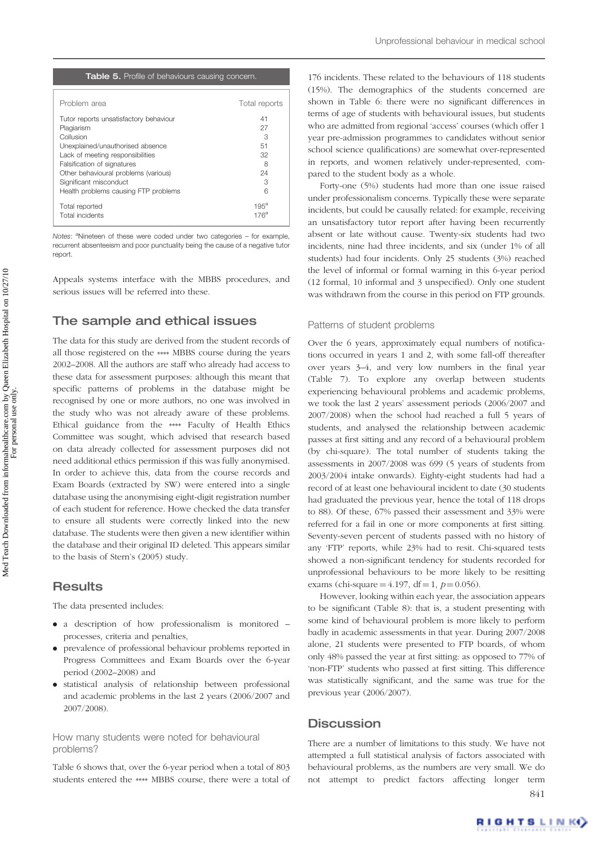| <b>Table 5.</b> Profile of behaviours causing concern. |                  |  |  |  |  |  |
|--------------------------------------------------------|------------------|--|--|--|--|--|
| Problem area                                           | Total reports    |  |  |  |  |  |
| Tutor reports unsatisfactory behaviour                 | 41               |  |  |  |  |  |
| Plagiarism                                             | 27               |  |  |  |  |  |
| Collusion                                              | З                |  |  |  |  |  |
| Unexplained/unauthorised absence                       | 51               |  |  |  |  |  |
| Lack of meeting responsibilities                       | 32               |  |  |  |  |  |
| Falsification of signatures                            | 8                |  |  |  |  |  |
| Other behavioural problems (various)                   | 24               |  |  |  |  |  |
| Significant misconduct                                 | З                |  |  |  |  |  |
| Health problems causing FTP problems                   | 6                |  |  |  |  |  |
| Total reported                                         | $195^a$          |  |  |  |  |  |
| Total incidents                                        | 176 <sup>a</sup> |  |  |  |  |  |

Notes: <sup>a</sup>Nineteen of these were coded under two categories - for example, recurrent absenteeism and poor punctuality being the cause of a negative tutor report.

Appeals systems interface with the MBBS procedures, and serious issues will be referred into these.

### The sample and ethical issues

The data for this study are derived from the student records of all those registered on the \*\*\*\* MBBS course during the years 2002–2008. All the authors are staff who already had access to these data for assessment purposes: although this meant that specific patterns of problems in the database might be recognised by one or more authors, no one was involved in the study who was not already aware of these problems. Ethical guidance from the \*\*\*\* Faculty of Health Ethics Committee was sought, which advised that research based on data already collected for assessment purposes did not need additional ethics permission if this was fully anonymised. In order to achieve this, data from the course records and Exam Boards (extracted by SW) were entered into a single database using the anonymising eight-digit registration number of each student for reference. Howe checked the data transfer to ensure all students were correctly linked into the new database. The students were then given a new identifier within the database and their original ID deleted. This appears similar to the basis of Stern's (2005) study.

### **Results**

The data presented includes:

- . a description of how professionalism is monitored processes, criteria and penalties,
- . prevalence of professional behaviour problems reported in Progress Committees and Exam Boards over the 6-year period (2002–2008) and
- . statistical analysis of relationship between professional and academic problems in the last 2 years (2006/2007 and 2007/2008).

How many students were noted for behavioural problems?

Table 6 shows that, over the 6-year period when a total of 803 students entered the \*\*\*\* MBBS course, there were a total of

176 incidents. These related to the behaviours of 118 students (15%). The demographics of the students concerned are shown in Table 6: there were no significant differences in terms of age of students with behavioural issues, but students who are admitted from regional 'access' courses (which offer 1 year pre-admission programmes to candidates without senior school science qualifications) are somewhat over-represented in reports, and women relatively under-represented, compared to the student body as a whole.

Forty-one (5%) students had more than one issue raised under professionalism concerns. Typically these were separate incidents, but could be causally related: for example, receiving an unsatisfactory tutor report after having been recurrently absent or late without cause. Twenty-six students had two incidents, nine had three incidents, and six (under 1% of all students) had four incidents. Only 25 students (3%) reached the level of informal or formal warning in this 6-year period (12 formal, 10 informal and 3 unspecified). Only one student was withdrawn from the course in this period on FTP grounds.

#### Patterns of student problems

Over the 6 years, approximately equal numbers of notifications occurred in years 1 and 2, with some fall-off thereafter over years 3–4, and very low numbers in the final year (Table 7). To explore any overlap between students experiencing behavioural problems and academic problems, we took the last 2 years' assessment periods (2006/2007 and 2007/2008) when the school had reached a full 5 years of students, and analysed the relationship between academic passes at first sitting and any record of a behavioural problem (by chi-square). The total number of students taking the assessments in 2007/2008 was 699 (5 years of students from 2003/2004 intake onwards). Eighty-eight students had had a record of at least one behavioural incident to date (30 students had graduated the previous year, hence the total of 118 drops to 88). Of these, 67% passed their assessment and 33% were referred for a fail in one or more components at first sitting. Seventy-seven percent of students passed with no history of any 'FTP' reports, while 23% had to resit. Chi-squared tests showed a non-significant tendency for students recorded for unprofessional behaviours to be more likely to be resitting exams (chi-square  $= 4.197$ , df  $= 1, p = 0.056$ ).

However, looking within each year, the association appears to be significant (Table 8): that is, a student presenting with some kind of behavioural problem is more likely to perform badly in academic assessments in that year. During 2007/2008 alone, 21 students were presented to FTP boards, of whom only 48% passed the year at first sitting: as opposed to 77% of 'non-FTP' students who passed at first sitting. This difference was statistically significant, and the same was true for the previous year (2006/2007).

#### **Discussion**

There are a number of limitations to this study. We have not attempted a full statistical analysis of factors associated with behavioural problems, as the numbers are very small. We do not attempt to predict factors affecting longer term 841

RIGHTS LINK()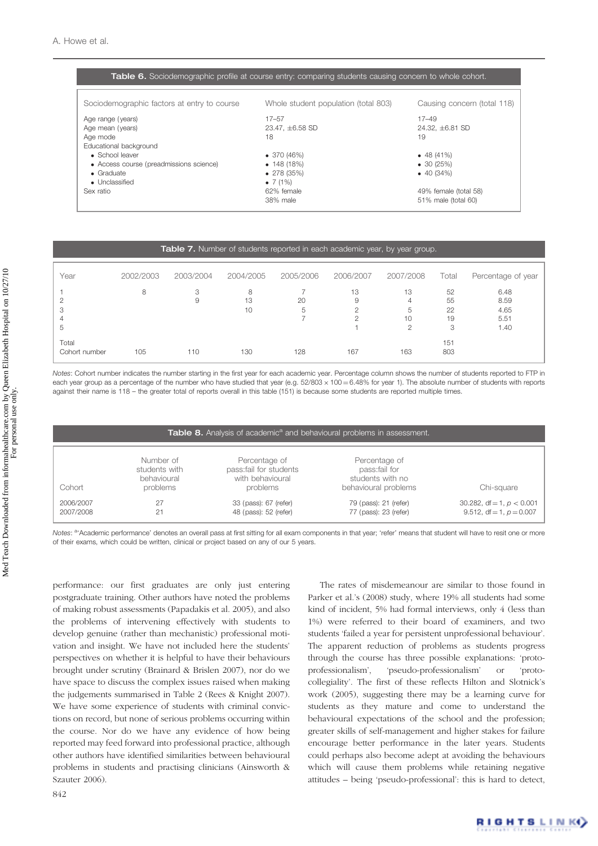

| <b>Table 7.</b> Number of students reported in each academic year, by year group. |           |           |               |           |                   |                    |                           |                                      |
|-----------------------------------------------------------------------------------|-----------|-----------|---------------|-----------|-------------------|--------------------|---------------------------|--------------------------------------|
| Year                                                                              | 2002/2003 | 2003/2004 | 2004/2005     | 2005/2006 | 2006/2007         | 2007/2008          | Total                     | Percentage of year                   |
| $\overline{2}$<br>3<br>4<br>5                                                     | 8         | 3<br>9    | 8<br>13<br>10 | 20<br>5   | 13<br>9<br>2<br>2 | 13<br>5<br>10<br>2 | 52<br>55<br>22<br>19<br>З | 6.48<br>8.59<br>4.65<br>5.51<br>1.40 |
| Total<br>Cohort number                                                            | 105       | 110       | 130           | 128       | 167               | 163                | 151<br>803                |                                      |

Notes: Cohort number indicates the number starting in the first year for each academic year. Percentage column shows the number of students reported to FTP in each year group as a percentage of the number who have studied that year (e.g.  $52/803 \times 100 = 6.48\%$  for year 1). The absolute number of students with reports against their name is 118 – the greater total of reports overall in this table (151) is because some students are reported multiple times.

| <b>Table 8.</b> Analysis of academic <sup>a</sup> and behavioural problems in assessment. |                                                       |                                                                         |                                                                            |                                                              |  |  |
|-------------------------------------------------------------------------------------------|-------------------------------------------------------|-------------------------------------------------------------------------|----------------------------------------------------------------------------|--------------------------------------------------------------|--|--|
| Cohort                                                                                    | Number of<br>students with<br>behavioural<br>problems | Percentage of<br>pass:fail for students<br>with behavioural<br>problems | Percentage of<br>pass:fail for<br>students with no<br>behavioural problems | Chi-square                                                   |  |  |
| 2006/2007<br>2007/2008                                                                    | 27<br>21                                              | 33 (pass): 67 (refer)<br>48 (pass): 52 (refer)                          | 79 (pass): 21 (refer)<br>77 (pass): 23 (refer)                             | 30.282, df = 1, $p < 0.001$<br>9.512, $df = 1$ , $p = 0.007$ |  |  |

Notes: <sup>a</sup> Academic performance' denotes an overall pass at first sitting for all exam components in that year; 'refer' means that student will have to resit one or more of their exams, which could be written, clinical or project based on any of our 5 years.

performance: our first graduates are only just entering postgraduate training. Other authors have noted the problems of making robust assessments (Papadakis et al. 2005), and also the problems of intervening effectively with students to develop genuine (rather than mechanistic) professional motivation and insight. We have not included here the students' perspectives on whether it is helpful to have their behaviours brought under scrutiny (Brainard & Brislen 2007), nor do we have space to discuss the complex issues raised when making the judgements summarised in Table 2 (Rees & Knight 2007). We have some experience of students with criminal convictions on record, but none of serious problems occurring within the course. Nor do we have any evidence of how being reported may feed forward into professional practice, although other authors have identified similarities between behavioural problems in students and practising clinicians (Ainsworth & Szauter 2006).

The rates of misdemeanour are similar to those found in Parker et al.'s (2008) study, where 19% all students had some kind of incident, 5% had formal interviews, only 4 (less than 1%) were referred to their board of examiners, and two students 'failed a year for persistent unprofessional behaviour'. The apparent reduction of problems as students progress through the course has three possible explanations: 'protoprofessionalism', 'pseudo-professionalism' or 'protocollegiality'. The first of these reflects Hilton and Slotnick's work (2005), suggesting there may be a learning curve for students as they mature and come to understand the behavioural expectations of the school and the profession; greater skills of self-management and higher stakes for failure encourage better performance in the later years. Students could perhaps also become adept at avoiding the behaviours which will cause them problems while retaining negative attitudes – being 'pseudo-professional': this is hard to detect,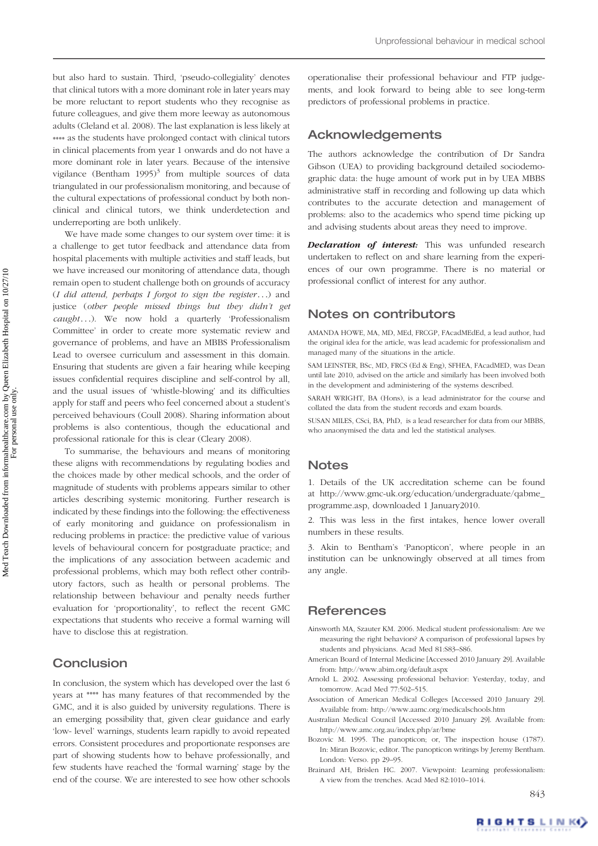but also hard to sustain. Third, 'pseudo-collegiality' denotes that clinical tutors with a more dominant role in later years may be more reluctant to report students who they recognise as future colleagues, and give them more leeway as autonomous adults (Cleland et al. 2008). The last explanation is less likely at \*\*\*\* as the students have prolonged contact with clinical tutors in clinical placements from year 1 onwards and do not have a more dominant role in later years. Because of the intensive vigilance (Bentham  $1995$ )<sup>3</sup> from multiple sources of data triangulated in our professionalism monitoring, and because of the cultural expectations of professional conduct by both nonclinical and clinical tutors, we think underdetection and underreporting are both unlikely.

We have made some changes to our system over time: it is a challenge to get tutor feedback and attendance data from hospital placements with multiple activities and staff leads, but we have increased our monitoring of attendance data, though remain open to student challenge both on grounds of accuracy (I did attend, perhaps I forgot to sign the register...) and justice (other people missed things but they didn't get caught ...). We now hold a quarterly 'Professionalism Committee' in order to create more systematic review and governance of problems, and have an MBBS Professionalism Lead to oversee curriculum and assessment in this domain. Ensuring that students are given a fair hearing while keeping issues confidential requires discipline and self-control by all, and the usual issues of 'whistle-blowing' and its difficulties apply for staff and peers who feel concerned about a student's perceived behaviours (Coull 2008). Sharing information about problems is also contentious, though the educational and professional rationale for this is clear (Cleary 2008).

To summarise, the behaviours and means of monitoring these aligns with recommendations by regulating bodies and the choices made by other medical schools, and the order of magnitude of students with problems appears similar to other articles describing systemic monitoring. Further research is indicated by these findings into the following: the effectiveness of early monitoring and guidance on professionalism in reducing problems in practice: the predictive value of various levels of behavioural concern for postgraduate practice; and the implications of any association between academic and professional problems, which may both reflect other contributory factors, such as health or personal problems. The relationship between behaviour and penalty needs further evaluation for 'proportionality', to reflect the recent GMC expectations that students who receive a formal warning will have to disclose this at registration.

## Conclusion

In conclusion, the system which has developed over the last 6 years at \*\*\*\* has many features of that recommended by the GMC, and it is also guided by university regulations. There is an emerging possibility that, given clear guidance and early 'low- level' warnings, students learn rapidly to avoid repeated errors. Consistent procedures and proportionate responses are part of showing students how to behave professionally, and few students have reached the 'formal warning' stage by the end of the course. We are interested to see how other schools

operationalise their professional behaviour and FTP judgements, and look forward to being able to see long-term predictors of professional problems in practice.

## Acknowledgements

The authors acknowledge the contribution of Dr Sandra Gibson (UEA) to providing background detailed sociodemographic data: the huge amount of work put in by UEA MBBS administrative staff in recording and following up data which contributes to the accurate detection and management of problems: also to the academics who spend time picking up and advising students about areas they need to improve.

Declaration of interest: This was unfunded research undertaken to reflect on and share learning from the experiences of our own programme. There is no material or professional conflict of interest for any author.

#### Notes on contributors

AMANDA HOWE, MA, MD, MEd, FRCGP, FAcadMEdEd, a lead author, had the original idea for the article, was lead academic for professionalism and managed many of the situations in the article.

SAM LEINSTER, BSc, MD, FRCS (Ed & Eng), SFHEA, FAcadMED, was Dean until late 2010, advised on the article and similarly has been involved both in the development and administering of the systems described.

SARAH WRIGHT, BA (Hons), is a lead administrator for the course and collated the data from the student records and exam boards.

SUSAN MILES, CSci, BA, PhD, is a lead researcher for data from our MBBS, who anaonymised the data and led the statistical analyses.

#### **Notes**

1. Details of the UK accreditation scheme can be found at http://www.gmc-uk.org/education/undergraduate/qabme\_ programme.asp, downloaded 1 January2010.

2. This was less in the first intakes, hence lower overall numbers in these results.

3. Akin to Bentham's 'Panopticon', where people in an institution can be unknowingly observed at all times from any angle.

### **References**

- Ainsworth MA, Szauter KM. 2006. Medical student professionalism: Are we measuring the right behaviors? A comparison of professional lapses by students and physicians. Acad Med 81:S83–S86.
- American Board of Internal Medicine [Accessed 2010 January 29]. Available from: http://www.abim.org/default.aspx
- Arnold L. 2002. Assessing professional behavior: Yesterday, today, and tomorrow. Acad Med 77:502–515.
- Association of American Medical Colleges [Accessed 2010 January 29]. Available from: http://www.aamc.org/medicalschools.htm
- Australian Medical Council [Accessed 2010 January 29]. Available from: http://www.amc.org.au/index.php/ar/bme
- Bozovic M. 1995. The panopticon; or, The inspection house (1787). In: Miran Bozovic, editor. The panopticon writings by Jeremy Bentham. London: Verso. pp 29–95.
- Brainard AH, Brislen HC. 2007. Viewpoint: Learning professionalism: A view from the trenches. Acad Med 82:1010–1014.

843